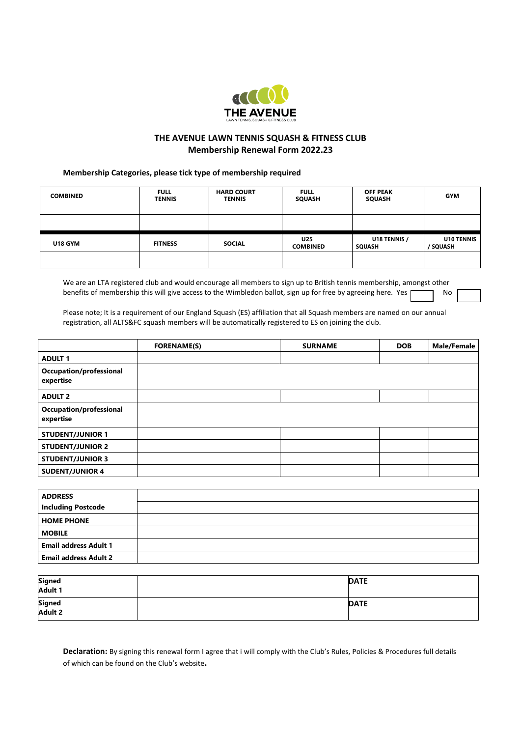

# **THE AVENUE LAWN TENNIS SQUASH & FITNESS CLUB Membership Renewal Form 2022.23**

## **Membership Categories, please tick type of membership required**

| <b>COMBINED</b> | <b>FULL</b><br><b>TENNIS</b> | <b>HARD COURT</b><br><b>TENNIS</b> | <b>FULL</b><br><b>SQUASH</b> | <b>OFF PEAK</b><br><b>SQUASH</b> | <b>GYM</b>                    |
|-----------------|------------------------------|------------------------------------|------------------------------|----------------------------------|-------------------------------|
|                 |                              |                                    |                              |                                  |                               |
| <b>U18 GYM</b>  | <b>FITNESS</b>               | <b>SOCIAL</b>                      | U25<br><b>COMBINED</b>       | U18 TENNIS /<br><b>SQUASH</b>    | <b>U10 TENNIS</b><br>/ SQUASH |
|                 |                              |                                    |                              |                                  |                               |

We are an LTA registered club and would encourage all members to sign up to British tennis membership, amongst other benefits of membership this will give access to the Wimbledon ballot, sign up for free by agreeing here. Yes

Please note; It is a requirement of our England Squash (ES) affiliation that all Squash members are named on our annual registration, all ALTS&FC squash members will be automatically registered to ES on joining the club.

|                                      | <b>FORENAME(S)</b> | <b>SURNAME</b> | <b>DOB</b> | <b>Male/Female</b> |
|--------------------------------------|--------------------|----------------|------------|--------------------|
| <b>ADULT 1</b>                       |                    |                |            |                    |
| Occupation/professional<br>expertise |                    |                |            |                    |
| <b>ADULT 2</b>                       |                    |                |            |                    |
| Occupation/professional<br>expertise |                    |                |            |                    |
| <b>STUDENT/JUNIOR 1</b>              |                    |                |            |                    |
| <b>STUDENT/JUNIOR 2</b>              |                    |                |            |                    |
| <b>STUDENT/JUNIOR 3</b>              |                    |                |            |                    |
| <b>SUDENT/JUNIOR 4</b>               |                    |                |            |                    |

| <b>ADDRESS</b>               |  |
|------------------------------|--|
| <b>Including Postcode</b>    |  |
| <b>HOME PHONE</b>            |  |
| <b>MOBILE</b>                |  |
| <b>Email address Adult 1</b> |  |
| <b>Email address Adult 2</b> |  |

| Signed<br>Adult 1 | <b>DATE</b> |
|-------------------|-------------|
| Signed<br>Adult 2 | <b>DATE</b> |

**Declaration:** By signing this renewal form I agree that i will comply with the Club's Rules, Policies & Procedures full details of which can be found on the Club's website**.**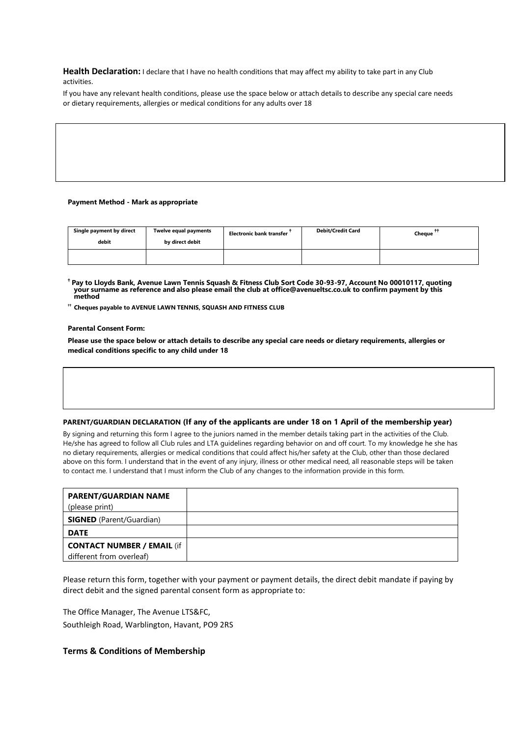Health Declaration: I declare that I have no health conditions that may affect my ability to take part in any Club activities.

If you have any relevant health conditions, please use the space below or attach details to describe any special care needs or dietary requirements, allergies or medical conditions for any adults over 18

#### **Payment Method - Mark as appropriate**

| Single payment by direct<br>debit | Twelve equal payments<br>by direct debit | <b>Electronic bank transfer</b> | <b>Debit/Credit Card</b> | Cheque |
|-----------------------------------|------------------------------------------|---------------------------------|--------------------------|--------|
|                                   |                                          |                                 |                          |        |

**† Pay to Lloyds Bank, Avenue Lawn Tennis Squash & Fitness Club Sort Code 30-93-97, Account No 00010117, quoting your surname as reference and also please email the club a[t office@avenueltsc.co.uk](mailto:office@avenueltsc.co.uk) to confirm payment by this method**

**†† Cheques payable to AVENUE LAWN TENNIS, SQUASH AND FITNESS CLUB**

#### **Parental Consent Form:**

**Please use the space below or attach details to describe any special care needs or dietary requirements, allergies or medical conditions specific to any child under 18** 

#### **PARENT/GUARDIAN DECLARATION (If any of the applicants are under 18 on 1 April of the membership year)**

By signing and returning this form I agree to the juniors named in the member details taking part in the activities of the Club. He/she has agreed to follow all Club rules and LTA guidelines regarding behavior on and off court. To my knowledge he she has no dietary requirements, allergies or medical conditions that could affect his/her safety at the Club, other than those declared above on this form. I understand that in the event of any injury, illness or other medical need, all reasonable steps will be taken to contact me. I understand that I must inform the Club of any changes to the information provide in this form.

| (please print)                                                |  |
|---------------------------------------------------------------|--|
| <b>SIGNED</b> (Parent/Guardian)                               |  |
| <b>DATE</b>                                                   |  |
| <b>CONTACT NUMBER / EMAIL (if</b><br>different from overleaf) |  |

Please return this form, together with your payment or payment details, the direct debit mandate if paying by direct debit and the signed parental consent form as appropriate to:

The Office Manager, The Avenue LTS&FC, Southleigh Road, Warblington, Havant, PO9 2RS

### **Terms & Conditions of Membership**